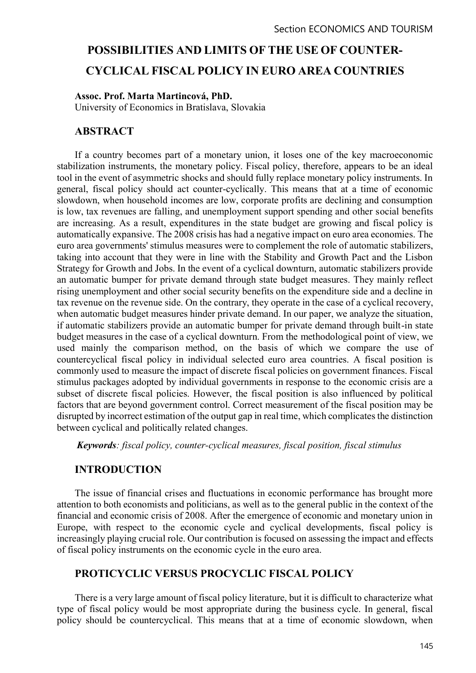# POSSIBILITIES AND LIMITS OF THE USE OF COUNTER-CYCLICAL FISCAL POLICY IN EURO AREA COUNTRIES

#### Assoc. Prof. Marta Martincová, PhD.

University of Economics in Bratislava, Slovakia

#### ABSTRACT

If a country becomes part of a monetary union, it loses one of the key macroeconomic stabilization instruments, the monetary policy. Fiscal policy, therefore, appears to be an ideal tool in the event of asymmetric shocks and should fully replace monetary policy instruments. In general, fiscal policy should act counter-cyclically. This means that at a time of economic slowdown, when household incomes are low, corporate profits are declining and consumption is low, tax revenues are falling, and unemployment support spending and other social benefits are increasing. As a result, expenditures in the state budget are growing and fiscal policy is automatically expansive. The 2008 crisis has had a negative impact on euro area economies. The euro area governments' stimulus measures were to complement the role of automatic stabilizers, taking into account that they were in line with the Stability and Growth Pact and the Lisbon Strategy for Growth and Jobs. In the event of a cyclical downturn, automatic stabilizers provide an automatic bumper for private demand through state budget measures. They mainly reflect rising unemployment and other social security benefits on the expenditure side and a decline in tax revenue on the revenue side. On the contrary, they operate in the case of a cyclical recovery, when automatic budget measures hinder private demand. In our paper, we analyze the situation, if automatic stabilizers provide an automatic bumper for private demand through built-in state budget measures in the case of a cyclical downturn. From the methodological point of view, we used mainly the comparison method, on the basis of which we compare the use of countercyclical fiscal policy in individual selected euro area countries. A fiscal position is commonly used to measure the impact of discrete fiscal policies on government finances. Fiscal stimulus packages adopted by individual governments in response to the economic crisis are a subset of discrete fiscal policies. However, the fiscal position is also influenced by political factors that are beyond government control. Correct measurement of the fiscal position may be disrupted by incorrect estimation of the output gap in real time, which complicates the distinction between cyclical and politically related changes.

Keywords: fiscal policy, counter-cyclical measures, fiscal position, fiscal stimulus

## INTRODUCTION

The issue of financial crises and fluctuations in economic performance has brought more attention to both economists and politicians, as well as to the general public in the context of the financial and economic crisis of 2008. After the emergence of economic and monetary union in Europe, with respect to the economic cycle and cyclical developments, fiscal policy is increasingly playing crucial role. Our contribution is focused on assessing the impact and effects of fiscal policy instruments on the economic cycle in the euro area.

# PROTICYCLIC VERSUS PROCYCLIC FISCAL POLICY

There is a very large amount of fiscal policy literature, but it is difficult to characterize what type of fiscal policy would be most appropriate during the business cycle. In general, fiscal policy should be countercyclical. This means that at a time of economic slowdown, when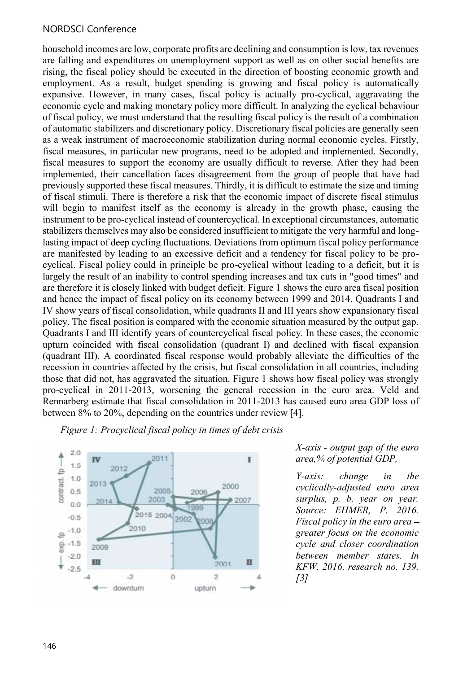#### NORDSCI Conference

household incomes are low, corporate profits are declining and consumption is low, tax revenues are falling and expenditures on unemployment support as well as on other social benefits are rising, the fiscal policy should be executed in the direction of boosting economic growth and employment. As a result, budget spending is growing and fiscal policy is automatically expansive. However, in many cases, fiscal policy is actually pro-cyclical, aggravating the economic cycle and making monetary policy more difficult. In analyzing the cyclical behaviour of fiscal policy, we must understand that the resulting fiscal policy is the result of a combination of automatic stabilizers and discretionary policy. Discretionary fiscal policies are generally seen as a weak instrument of macroeconomic stabilization during normal economic cycles. Firstly, fiscal measures, in particular new programs, need to be adopted and implemented. Secondly, fiscal measures to support the economy are usually difficult to reverse. After they had been implemented, their cancellation faces disagreement from the group of people that have had previously supported these fiscal measures. Thirdly, it is difficult to estimate the size and timing of fiscal stimuli. There is therefore a risk that the economic impact of discrete fiscal stimulus will begin to manifest itself as the economy is already in the growth phase, causing the instrument to be pro-cyclical instead of countercyclical. In exceptional circumstances, automatic stabilizers themselves may also be considered insufficient to mitigate the very harmful and longlasting impact of deep cycling fluctuations. Deviations from optimum fiscal policy performance are manifested by leading to an excessive deficit and a tendency for fiscal policy to be procyclical. Fiscal policy could in principle be pro-cyclical without leading to a deficit, but it is largely the result of an inability to control spending increases and tax cuts in "good times" and are therefore it is closely linked with budget deficit. Figure 1 shows the euro area fiscal position and hence the impact of fiscal policy on its economy between 1999 and 2014. Quadrants I and IV show years of fiscal consolidation, while quadrants II and III years show expansionary fiscal policy. The fiscal position is compared with the economic situation measured by the output gap. Quadrants I and III identify years of countercyclical fiscal policy. In these cases, the economic upturn coincided with fiscal consolidation (quadrant I) and declined with fiscal expansion (quadrant III). A coordinated fiscal response would probably alleviate the difficulties of the recession in countries affected by the crisis, but fiscal consolidation in all countries, including those that did not, has aggravated the situation. Figure 1 shows how fiscal policy was strongly pro-cyclical in 2011-2013, worsening the general recession in the euro area. Veld and Rennarberg estimate that fiscal consolidation in 2011-2013 has caused euro area GDP loss of between 8% to 20%, depending on the countries under review [4].

Figure 1: Procyclical fiscal policy in times of debt crisis



X-axis - output gap of the euro area,% of potential GDP,

Y-axis: change in the cyclically-adjusted euro area surplus, p. b. year on year. Source: EHMER, P. 2016. Fiscal policy in the euro area $$ greater focus on the economic cycle and closer coordination between member states. In KFW. 2016, research no. 139.  $\int$ 3]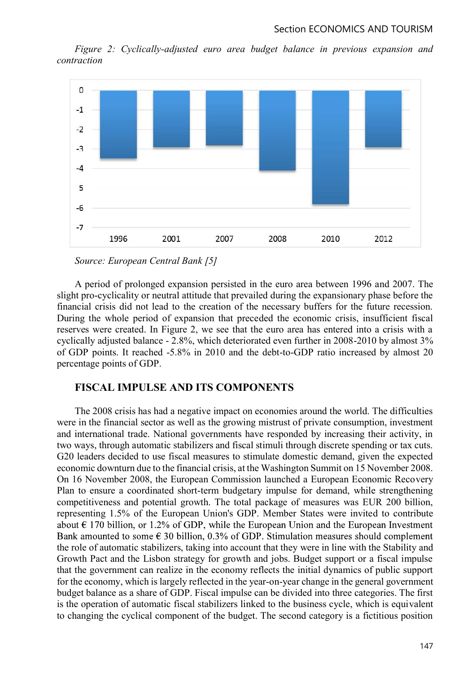Figure 2: Cyclically-adjusted euro area budget balance in previous expansion and contraction



Source: European Central Bank [5]

A period of prolonged expansion persisted in the euro area between 1996 and 2007. The slight pro-cyclicality or neutral attitude that prevailed during the expansionary phase before the financial crisis did not lead to the creation of the necessary buffers for the future recession. During the whole period of expansion that preceded the economic crisis, insufficient fiscal reserves were created. In Figure 2, we see that the euro area has entered into a crisis with a cyclically adjusted balance - 2.8%, which deteriorated even further in 2008-2010 by almost 3% of GDP points. It reached -5.8% in 2010 and the debt-to-GDP ratio increased by almost 20 percentage points of GDP.

#### FISCAL IMPULSE AND ITS COMPONENTS

The 2008 crisis has had a negative impact on economies around the world. The difficulties were in the financial sector as well as the growing mistrust of private consumption, investment and international trade. National governments have responded by increasing their activity, in two ways, through automatic stabilizers and fiscal stimuli through discrete spending or tax cuts. G20 leaders decided to use fiscal measures to stimulate domestic demand, given the expected economic downturn due to the financial crisis, at the Washington Summit on 15 November 2008. On 16 November 2008, the European Commission launched a European Economic Recovery Plan to ensure a coordinated short-term budgetary impulse for demand, while strengthening competitiveness and potential growth. The total package of measures was EUR 200 billion, representing 1.5% of the European Union's GDP. Member States were invited to contribute about  $\epsilon$  170 billion, or 1.2% of GDP, while the European Union and the European Investment Bank amounted to some  $\epsilon$  30 billion, 0.3% of GDP. Stimulation measures should complement the role of automatic stabilizers, taking into account that they were in line with the Stability and Growth Pact and the Lisbon strategy for growth and jobs. Budget support or a fiscal impulse that the government can realize in the economy reflects the initial dynamics of public support for the economy, which is largely reflected in the year-on-year change in the general government budget balance as a share of GDP. Fiscal impulse can be divided into three categories. The first is the operation of automatic fiscal stabilizers linked to the business cycle, which is equivalent to changing the cyclical component of the budget. The second category is a fictitious position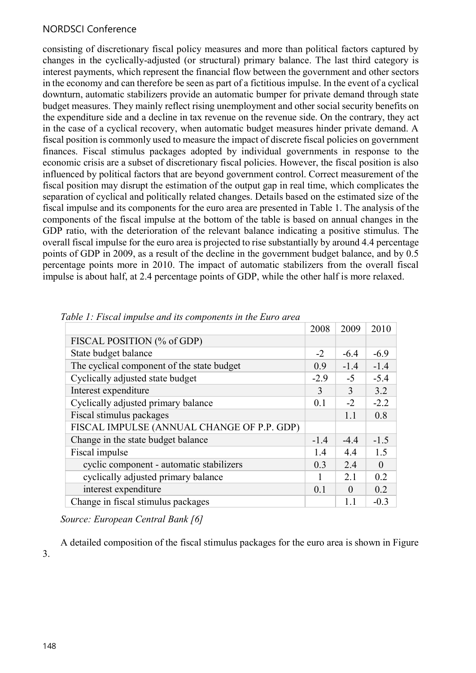## NORDSCI Conference

consisting of discretionary fiscal policy measures and more than political factors captured by changes in the cyclically-adjusted (or structural) primary balance. The last third category is interest payments, which represent the financial flow between the government and other sectors in the economy and can therefore be seen as part of a fictitious impulse. In the event of a cyclical downturn, automatic stabilizers provide an automatic bumper for private demand through state budget measures. They mainly reflect rising unemployment and other social security benefits on the expenditure side and a decline in tax revenue on the revenue side. On the contrary, they act in the case of a cyclical recovery, when automatic budget measures hinder private demand. A fiscal position is commonly used to measure the impact of discrete fiscal policies on government finances. Fiscal stimulus packages adopted by individual governments in response to the economic crisis are a subset of discretionary fiscal policies. However, the fiscal position is also influenced by political factors that are beyond government control. Correct measurement of the fiscal position may disrupt the estimation of the output gap in real time, which complicates the separation of cyclical and politically related changes. Details based on the estimated size of the fiscal impulse and its components for the euro area are presented in Table 1. The analysis of the components of the fiscal impulse at the bottom of the table is based on annual changes in the GDP ratio, with the deterioration of the relevant balance indicating a positive stimulus. The overall fiscal impulse for the euro area is projected to rise substantially by around 4.4 percentage points of GDP in 2009, as a result of the decline in the government budget balance, and by 0.5 percentage points more in 2010. The impact of automatic stabilizers from the overall fiscal impulse is about half, at 2.4 percentage points of GDP, while the other half is more relaxed.

|                                            | 2008   | 2009           | 2010           |
|--------------------------------------------|--------|----------------|----------------|
| FISCAL POSITION (% of GDP)                 |        |                |                |
| State budget balance                       | $-2$   | $-6.4$         | $-6.9$         |
| The cyclical component of the state budget | 0.9    | $-1.4$         | $-1.4$         |
| Cyclically adjusted state budget           | $-2.9$ | $-5$           | $-5.4$         |
| Interest expenditure                       | 3      | 3              | 3.2            |
| Cyclically adjusted primary balance        | 0.1    | $-2$           | $-2.2$         |
| Fiscal stimulus packages                   |        | 1.1            | 0.8            |
| FISCAL IMPULSE (ANNUAL CHANGE OF P.P. GDP) |        |                |                |
| Change in the state budget balance         | $-1.4$ | $-4.4$         | $-1.5$         |
| Fiscal impulse                             | 1.4    | 4.4            | 1.5            |
| cyclic component - automatic stabilizers   | 0.3    | 2.4            | $\overline{0}$ |
| cyclically adjusted primary balance        |        | 2.1            | 0.2            |
| interest expenditure                       | 0.1    | $\overline{0}$ | 0.2            |
| Change in fiscal stimulus packages         |        | $1.1\,$        | $-0.3$         |

Table 1: Fiscal impulse and its components in the Euro area

Source: European Central Bank [6]

A detailed composition of the fiscal stimulus packages for the euro area is shown in Figure 3.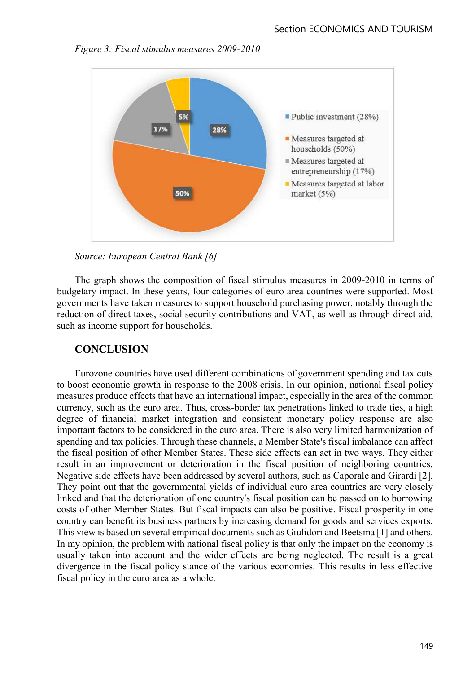

Figure 3: Fiscal stimulus measures 2009-2010



The graph shows the composition of fiscal stimulus measures in 2009-2010 in terms of budgetary impact. In these years, four categories of euro area countries were supported. Most governments have taken measures to support household purchasing power, notably through the reduction of direct taxes, social security contributions and VAT, as well as through direct aid, such as income support for households.

## **CONCLUSION**

Eurozone countries have used different combinations of government spending and tax cuts to boost economic growth in response to the 2008 crisis. In our opinion, national fiscal policy measures produce effects that have an international impact, especially in the area of the common currency, such as the euro area. Thus, cross-border tax penetrations linked to trade ties, a high degree of financial market integration and consistent monetary policy response are also important factors to be considered in the euro area. There is also very limited harmonization of spending and tax policies. Through these channels, a Member State's fiscal imbalance can affect the fiscal position of other Member States. These side effects can act in two ways. They either result in an improvement or deterioration in the fiscal position of neighboring countries. Negative side effects have been addressed by several authors, such as Caporale and Girardi [2]. They point out that the governmental yields of individual euro area countries are very closely linked and that the deterioration of one country's fiscal position can be passed on to borrowing costs of other Member States. But fiscal impacts can also be positive. Fiscal prosperity in one country can benefit its business partners by increasing demand for goods and services exports. This view is based on several empirical documents such as Giulidori and Beetsma [1] and others. In my opinion, the problem with national fiscal policy is that only the impact on the economy is usually taken into account and the wider effects are being neglected. The result is a great divergence in the fiscal policy stance of the various economies. This results in less effective fiscal policy in the euro area as a whole.